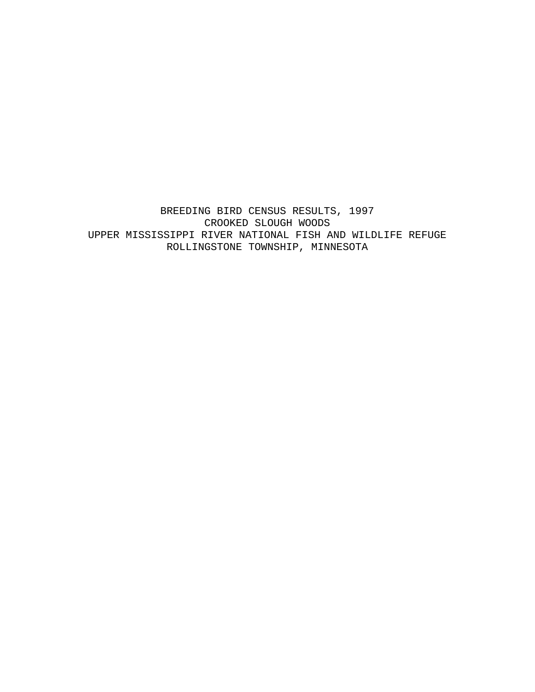BREEDING BIRD CENSUS RESULTS, 1997 CROOKED SLOUGH WOODS UPPER MISSISSIPPI RIVER NATIONAL FISH AND WILDLIFE REFUGE ROLLINGSTONE TOWNSHIP, MINNESOTA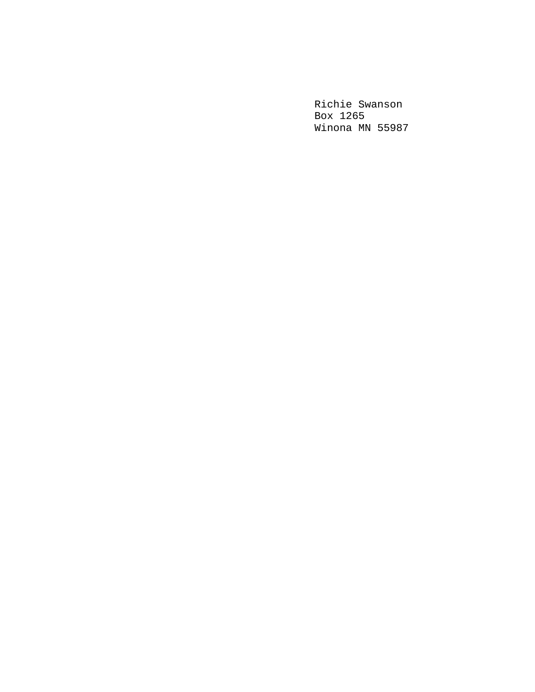Richie Swanson Box 1265 Winona MN 55987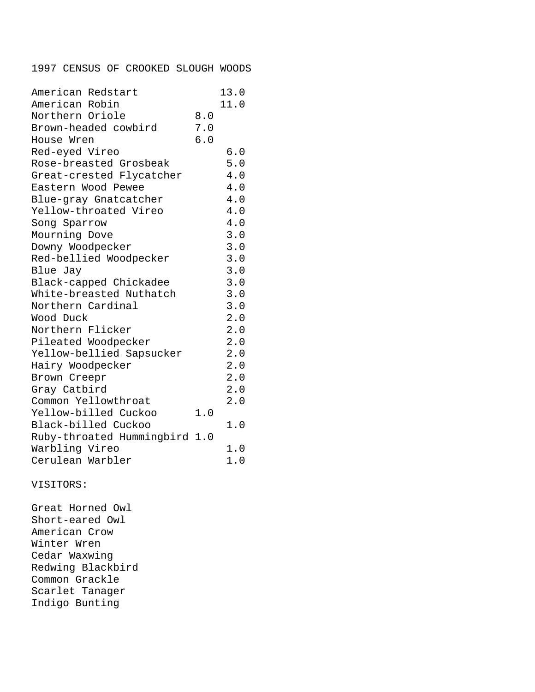## 1997 CENSUS OF CROOKED SLOUGH WOODS

| American Redstart             |     | 13.0 |
|-------------------------------|-----|------|
| American Robin                |     | 11.0 |
| Northern Oriole               | 8.0 |      |
| Brown-headed cowbird          | 7.0 |      |
| House Wren                    | 6.0 |      |
| Red-eyed Vireo                |     | 6.0  |
| Rose-breasted Grosbeak        |     | 5.0  |
| Great-crested Flycatcher      |     | 4.0  |
| Eastern Wood Pewee            |     | 4.0  |
| Blue-gray Gnatcatcher         |     | 4.0  |
| Yellow-throated Vireo         |     | 4.0  |
| Song Sparrow                  |     | 4.0  |
| Mourning Dove                 |     | 3.0  |
| Downy Woodpecker              |     | 3.0  |
| Red-bellied Woodpecker        |     | 3.0  |
| Blue Jay                      |     | 3.0  |
| Black-capped Chickadee        |     | 3.0  |
| White-breasted Nuthatch       |     | 3.0  |
| Northern Cardinal             |     | 3.0  |
| Wood Duck                     |     | 2.0  |
| Northern Flicker              |     | 2.0  |
| Pileated Woodpecker           |     | 2.0  |
| Yellow-bellied Sapsucker      |     | 2.0  |
| Hairy Woodpecker              |     | 2.0  |
| Brown Creepr                  |     | 2.0  |
| Gray Catbird                  |     | 2.0  |
| Common Yellowthroat           |     | 2.0  |
| Yellow-billed Cuckoo          | 1.0 |      |
| Black-billed Cuckoo           |     | 1.0  |
| Ruby-throated Hummingbird 1.0 |     |      |
| Warbling Vireo                |     | 1.0  |
| Cerulean Warbler              |     | 1.0  |

## VISITORS:

Great Horned Owl Short-eared Owl American Crow Winter Wren Cedar Waxwing Redwing Blackbird Common Grackle Scarlet Tanager Indigo Bunting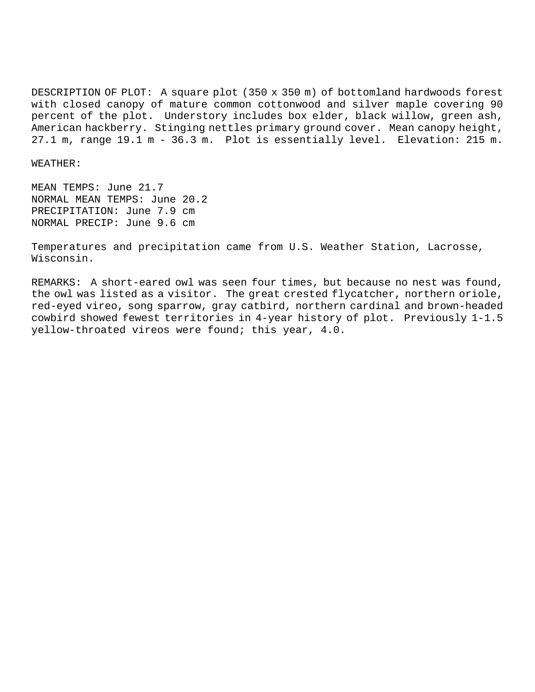DESCRIPTION OF PLOT: A square plot (350 x 350 m) of bottomland hardwoods forest with closed canopy of mature common cottonwood and silver maple covering 90 percent of the plot. Understory includes box elder, black willow, green ash, American hackberry. Stinging nettles primary ground cover. Mean canopy height, 27.1 m, range 19.1 m - 36.3 m. Plot is essentially level. Elevation: 215 m.

## WEATHER:

MEAN TEMPS: June 21.7 NORMAL MEAN TEMPS: June 20.2 PRECIPITATION: June 7.9 cm NORMAL PRECIP: June 9.6 cm

Temperatures and precipitation came from U.S. Weather Station, Lacrosse, Wisconsin.

REMARKS: A short-eared owl was seen four times, but because no nest was found, the owl was listed as a visitor. The great crested flycatcher, northern oriole, red-eyed vireo, song sparrow, gray catbird, northern cardinal and brown-headed cowbird showed fewest territories in 4-year history of plot. Previously 1-1.5 yellow-throated vireos were found; this year, 4.0.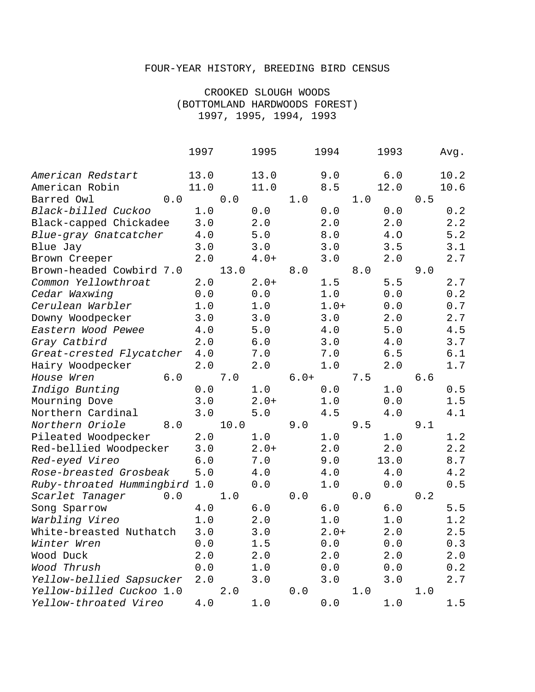## FOUR-YEAR HISTORY, BREEDING BIRD CENSUS

CROOKED SLOUGH WOODS (BOTTOMLAND HARDWOODS FOREST) 1997, 1995, 1994, 1993

|                               | 1997  |      | 1995   | 1994   |        | 1993 |      | Avg. |      |
|-------------------------------|-------|------|--------|--------|--------|------|------|------|------|
| American Redstart             | 13.0  |      | 13.0   |        | 9.0    |      | 6.0  |      | 10.2 |
| American Robin                | 11.0  |      | 11.0   |        | 8.5    |      | 12.0 |      | 10.6 |
| Barred Owl<br>0.0             |       | 0.0  |        | 1.0    |        | 1.0  |      | 0.5  |      |
| Black-billed Cuckoo           | 1.0   |      | 0.0    |        | 0.0    |      | 0.0  |      | 0.2  |
| Black-capped Chickadee        | 3.0   |      | 2.0    |        | 2.0    |      | 2.0  |      | 2.2  |
| Blue-gray Gnatcatcher         | 4.0   |      | 5.0    |        | 8.0    |      | 4.0  |      | 5.2  |
| Blue Jay                      | 3.0   |      | 3.0    |        | 3.0    |      | 3.5  |      | 3.1  |
| Brown Creeper                 | 2.0   |      | $4.0+$ |        | 3.0    |      | 2.0  |      | 2.7  |
| Brown-headed Cowbird 7.0      |       | 13.0 |        | 8.0    |        | 8.0  |      | 9.0  |      |
| Common Yellowthroat           | 2.0   |      | $2.0+$ |        | 1.5    |      | 5.5  |      | 2.7  |
| Cedar Waxwing                 | 0.0   |      | 0.0    |        | 1.0    |      | 0.0  |      | 0.2  |
| Cerulean Warbler              | 1.0   |      | 1.0    |        | $1.0+$ |      | 0.0  |      | 0.7  |
| Downy Woodpecker              | 3.0   |      | 3.0    |        | 3.0    |      | 2.0  |      | 2.7  |
| Eastern Wood Pewee            | 4.0   |      | 5.0    |        | 4.0    |      | 5.0  |      | 4.5  |
| Gray Catbird                  | 2.0   |      | 6.0    |        | 3.0    |      | 4.0  |      | 3.7  |
| Great-crested Flycatcher      | 4.0   |      | 7.0    |        | 7.0    |      | 6.5  |      | 6.1  |
| Hairy Woodpecker              | 2.0   |      | 2.0    |        | 1.0    |      | 2.0  |      | 1.7  |
| 6.0<br>House Wren             |       | 7.0  |        | $6.0+$ |        | 7.5  |      | 6.6  |      |
| Indigo Bunting                | 0.0   |      | 1.0    |        | 0.0    |      | 1.0  |      | 0.5  |
| Mourning Dove                 | 3.0   |      | $2.0+$ |        | 1.0    |      | 0.0  |      | 1.5  |
| Northern Cardinal             | 3.0   |      | 5.0    |        | 4.5    |      | 4.0  |      | 4.1  |
| Northern Oriole<br>8.0        |       | 10.0 |        | 9.0    |        | 9.5  |      | 9.1  |      |
| Pileated Woodpecker           | 2.0   |      | 1.0    |        | 1.0    |      | 1.0  |      | 1.2  |
| Red-bellied Woodpecker        | 3.0   |      | $2.0+$ |        | 2.0    |      | 2.0  |      | 2.2  |
| Red-eyed Vireo                | $6.0$ |      | 7.0    |        | 9.0    |      | 13.0 |      | 8.7  |
| Rose-breasted Grosbeak        | 5.0   |      | 4.0    |        | 4.0    |      | 4.0  |      | 4.2  |
| Ruby-throated Hummingbird 1.0 |       |      | 0.0    |        | 1.0    |      | 0.0  |      | 0.5  |
| Scarlet Tanager<br>0.0        |       | 1.0  |        | 0.0    |        | 0.0  |      | 0.2  |      |
| Song Sparrow                  | 4.0   |      | 6.0    |        | 6.0    |      | 6.0  |      | 5.5  |
| Warbling Vireo                | 1.0   |      | 2.0    |        | 1.0    |      | 1.0  |      | 1.2  |
| White-breasted Nuthatch       | 3.0   |      | 3.0    |        | $2.0+$ |      | 2.0  |      | 2.5  |
| Winter Wren                   | $0.0$ |      | 1.5    |        | $0.0$  |      | 0.0  |      | 0.3  |
| Wood Duck                     | 2.0   |      | 2.0    |        | 2.0    |      | 2.0  |      | 2.0  |
| Wood Thrush                   | 0.0   |      | 1.0    |        | 0.0    |      | 0.0  |      | 0.2  |
| Yellow-bellied Sapsucker      | 2.0   |      | 3.0    |        | 3.0    |      | 3.0  |      | 2.7  |
| Yellow-billed Cuckoo 1.0      |       | 2.0  |        | 0.0    |        | 1.0  |      | 1.0  |      |
| Yellow-throated Vireo         | 4.0   |      | 1.0    |        | 0.0    |      | 1.0  |      | 1.5  |